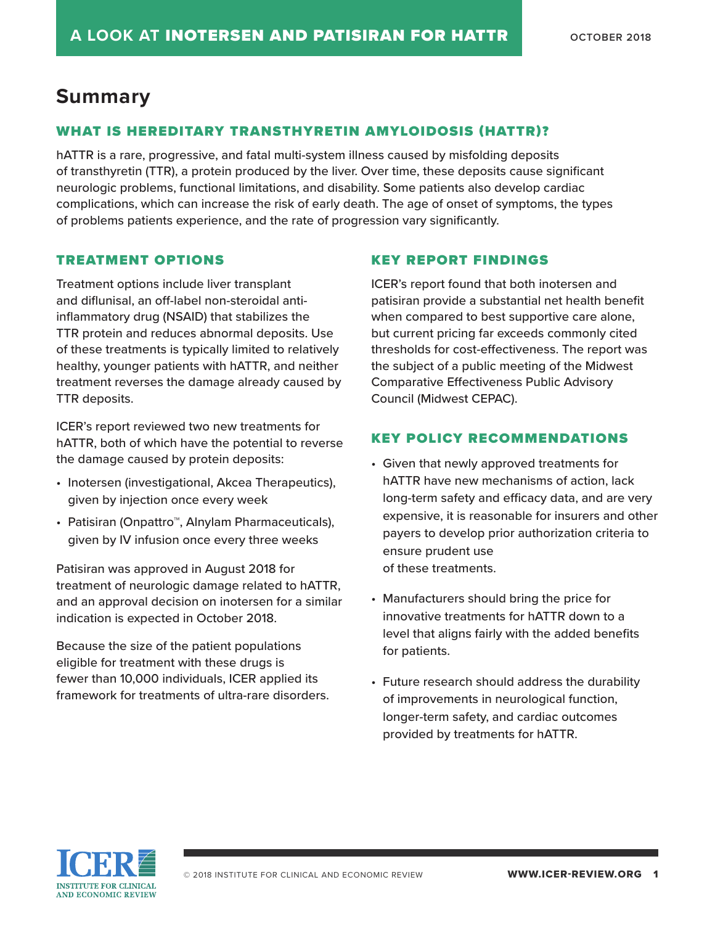# **Summary**

## WHAT IS HEREDITARY TRANSTHYRETIN AMYLOIDOSIS (HATTR)?

hATTR is a rare, progressive, and fatal multi-system illness caused by misfolding deposits of transthyretin (TTR), a protein produced by the liver. Over time, these deposits cause significant neurologic problems, functional limitations, and disability. Some patients also develop cardiac complications, which can increase the risk of early death. The age of onset of symptoms, the types of problems patients experience, and the rate of progression vary significantly.

### TREATMENT OPTIONS

Treatment options include liver transplant and diflunisal, an off-label non-steroidal antiinflammatory drug (NSAID) that stabilizes the TTR protein and reduces abnormal deposits. Use of these treatments is typically limited to relatively healthy, younger patients with hATTR, and neither treatment reverses the damage already caused by TTR deposits.

ICER's report reviewed two new treatments for hATTR, both of which have the potential to reverse the damage caused by protein deposits:

- Inotersen (investigational, Akcea Therapeutics), given by injection once every week
- Patisiran (Onpattro™, Alnylam Pharmaceuticals), given by IV infusion once every three weeks

Patisiran was approved in August 2018 for treatment of neurologic damage related to hATTR, and an approval decision on inotersen for a similar indication is expected in October 2018.

Because the size of the patient populations eligible for treatment with these drugs is fewer than 10,000 individuals, ICER applied its framework for treatments of ultra-rare disorders.

### KEY REPORT FINDINGS

ICER's report found that both inotersen and patisiran provide a substantial net health benefit when compared to best supportive care alone, but current pricing far exceeds commonly cited thresholds for cost-effectiveness. The report was the subject of a public meeting of the Midwest Comparative Effectiveness Public Advisory Council (Midwest CEPAC).

## KEY POLICY RECOMMENDATIONS

- Given that newly approved treatments for hATTR have new mechanisms of action, lack long-term safety and efficacy data, and are very expensive, it is reasonable for insurers and other payers to develop prior authorization criteria to ensure prudent use of these treatments.
- Manufacturers should bring the price for innovative treatments for hATTR down to a level that aligns fairly with the added benefits for patients.
- Future research should address the durability of improvements in neurological function, longer-term safety, and cardiac outcomes provided by treatments for hATTR.

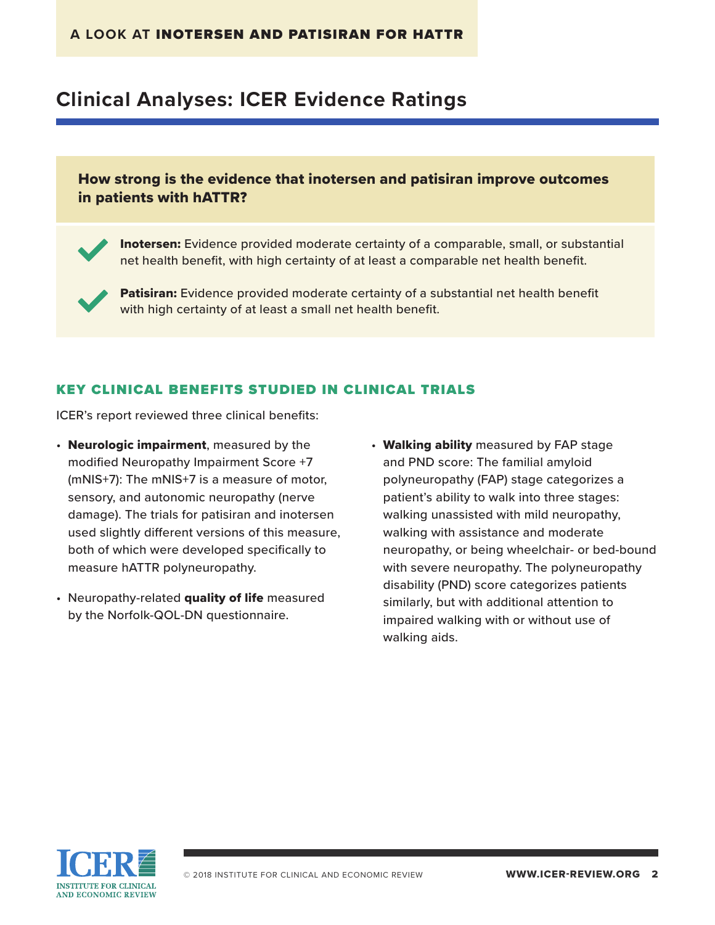# **Clinical Analyses: ICER Evidence Ratings**

## How strong is the evidence that inotersen and patisiran improve outcomes in patients with hATTR?

**Inotersen:** Evidence provided moderate certainty of a comparable, small, or substantial net health benefit, with high certainty of at least a comparable net health benefit.

Patisiran: Evidence provided moderate certainty of a substantial net health benefit with high certainty of at least a small net health benefit.

### KEY CLINICAL BENEFITS STUDIED IN CLINICAL TRIALS

ICER's report reviewed three clinical benefits:

- Neurologic impairment, measured by the modified Neuropathy Impairment Score +7 (mNIS+7): The mNIS+7 is a measure of motor, sensory, and autonomic neuropathy (nerve damage). The trials for patisiran and inotersen used slightly different versions of this measure, both of which were developed specifically to measure hATTR polyneuropathy.
- Neuropathy-related quality of life measured by the Norfolk-QOL-DN questionnaire.
- Walking ability measured by FAP stage and PND score: The familial amyloid polyneuropathy (FAP) stage categorizes a patient's ability to walk into three stages: walking unassisted with mild neuropathy, walking with assistance and moderate neuropathy, or being wheelchair- or bed-bound with severe neuropathy. The polyneuropathy disability (PND) score categorizes patients similarly, but with additional attention to impaired walking with or without use of walking aids.

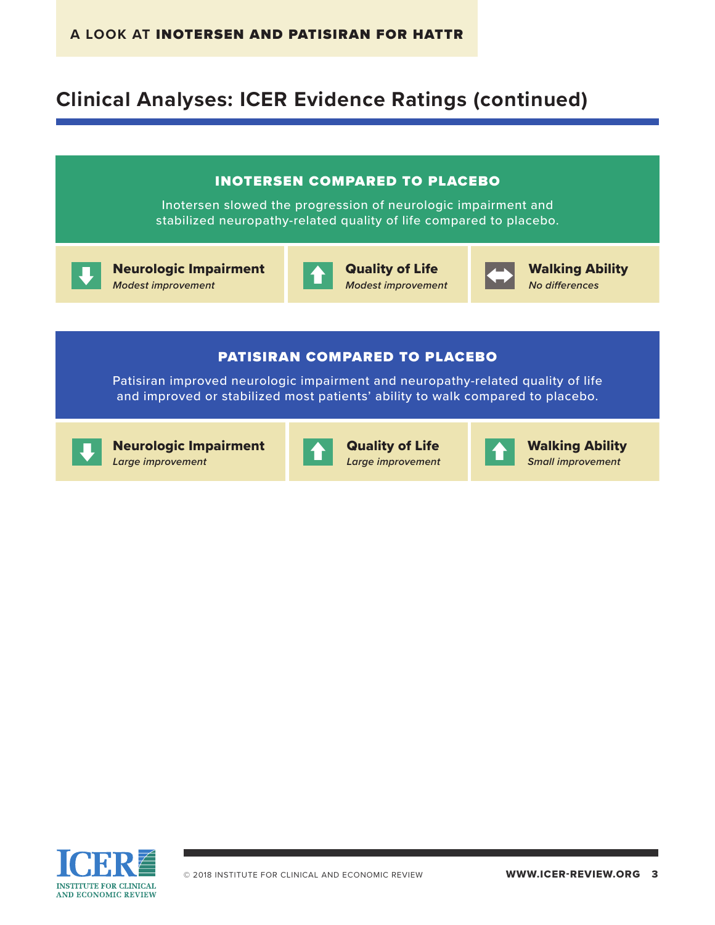# **Clinical Analyses: ICER Evidence Ratings (continued)**



**INSTITUTE FOR CLINICAL AND ECONOMIC REVIEW** 

*Large improvement*

*Small improvement*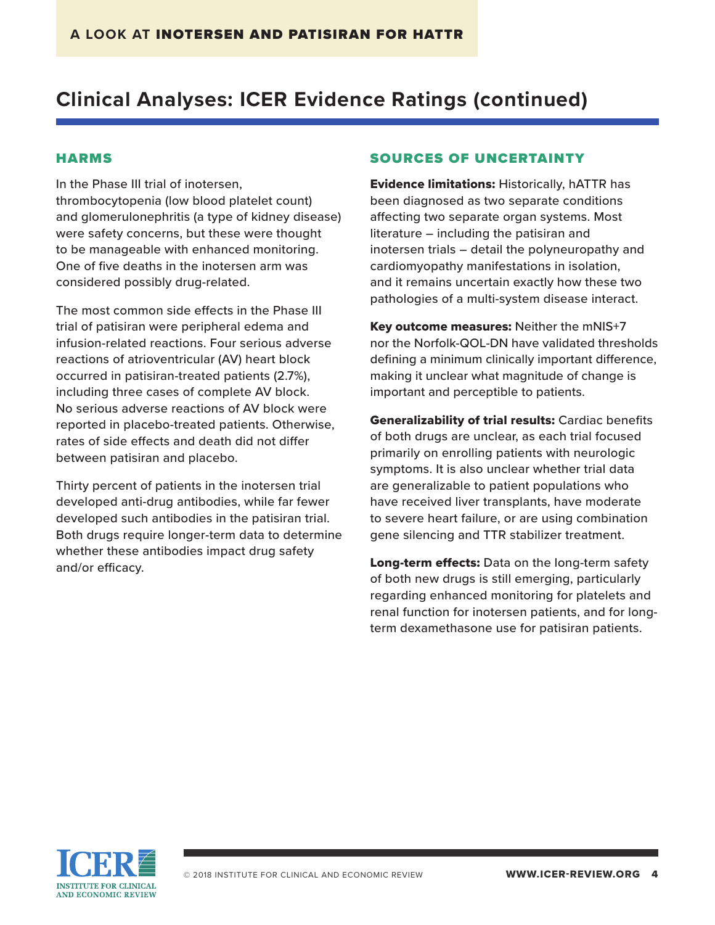# **Clinical Analyses: ICER Evidence Ratings (continued)**

#### HARMS

In the Phase III trial of inotersen, thrombocytopenia (low blood platelet count) and glomerulonephritis (a type of kidney disease) were safety concerns, but these were thought to be manageable with enhanced monitoring. One of five deaths in the inotersen arm was considered possibly drug-related.

The most common side effects in the Phase III trial of patisiran were peripheral edema and infusion-related reactions. Four serious adverse reactions of atrioventricular (AV) heart block occurred in patisiran-treated patients (2.7%), including three cases of complete AV block. No serious adverse reactions of AV block were reported in placebo-treated patients. Otherwise, rates of side effects and death did not differ between patisiran and placebo.

Thirty percent of patients in the inotersen trial developed anti-drug antibodies, while far fewer developed such antibodies in the patisiran trial. Both drugs require longer-term data to determine whether these antibodies impact drug safety and/or efficacy.

### SOURCES OF UNCERTAINTY

Evidence limitations: Historically, hATTR has been diagnosed as two separate conditions affecting two separate organ systems. Most literature – including the patisiran and inotersen trials – detail the polyneuropathy and cardiomyopathy manifestations in isolation, and it remains uncertain exactly how these two pathologies of a multi-system disease interact.

Key outcome measures: Neither the mNIS+7 nor the Norfolk-QOL-DN have validated thresholds defining a minimum clinically important difference, making it unclear what magnitude of change is important and perceptible to patients.

Generalizability of trial results: Cardiac benefits of both drugs are unclear, as each trial focused primarily on enrolling patients with neurologic symptoms. It is also unclear whether trial data are generalizable to patient populations who have received liver transplants, have moderate to severe heart failure, or are using combination gene silencing and TTR stabilizer treatment.

Long-term effects: Data on the long-term safety of both new drugs is still emerging, particularly regarding enhanced monitoring for platelets and renal function for inotersen patients, and for longterm dexamethasone use for patisiran patients.

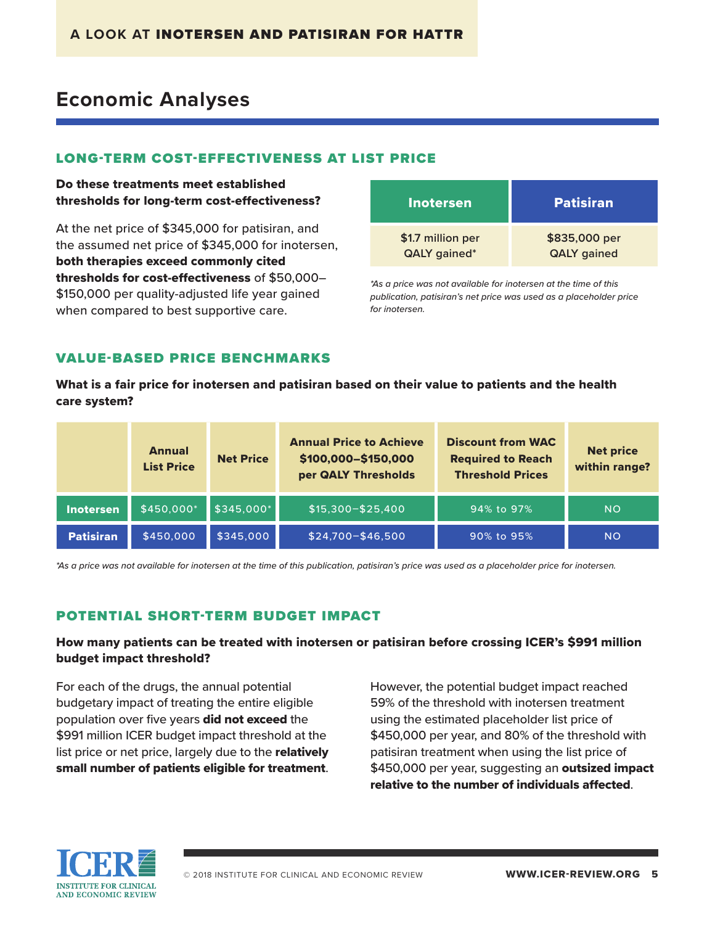# **Economic Analyses**

### LONG-TERM COST-EFFECTIVENESS AT LIST PRICE

Do these treatments meet established thresholds for long-term cost-effectiveness?

At the net price of \$345,000 for patisiran, and the assumed net price of \$345,000 for inotersen, both therapies exceed commonly cited thresholds for cost-effectiveness of \$50,000– \$150,000 per quality-adjusted life year gained when compared to best supportive care.

| Inotersen           | <b>Patisiran</b>   |
|---------------------|--------------------|
| \$1.7 million per   | \$835,000 per      |
| <b>QALY</b> gained* | <b>QALY</b> gained |

*\*As a price was not available for inotersen at the time of this publication, patisiran's net price was used as a placeholder price for inotersen.*

## VALUE-BASED PRICE BENCHMARKS

What is a fair price for inotersen and patisiran based on their value to patients and the health care system?

|                  | <b>Annual</b><br><b>List Price</b> | <b>Net Price</b> | <b>Annual Price to Achieve</b><br>\$100,000-\$150,000<br>per QALY Thresholds | <b>Discount from WAC</b><br><b>Required to Reach</b><br><b>Threshold Prices</b> | <b>Net price</b><br>within range? |
|------------------|------------------------------------|------------------|------------------------------------------------------------------------------|---------------------------------------------------------------------------------|-----------------------------------|
| Inotersen        | \$450,000*                         | $$345,000*$      | $$15,300 - $25,400$                                                          | 94% to 97%                                                                      | <b>NO</b>                         |
| <b>Patisiran</b> | \$450,000                          | \$345,000        | \$24,700-\$46,500                                                            | 90% to 95%                                                                      | <b>NO</b>                         |

*\*As a price was not available for inotersen at the time of this publication, patisiran's price was used as a placeholder price for inotersen.*

### POTENTIAL SHORT-TERM BUDGET IMPACT

### How many patients can be treated with inotersen or patisiran before crossing ICER's \$991 million budget impact threshold?

For each of the drugs, the annual potential budgetary impact of treating the entire eligible population over five years did not exceed the \$991 million ICER budget impact threshold at the list price or net price, largely due to the relatively small number of patients eligible for treatment.

However, the potential budget impact reached 59% of the threshold with inotersen treatment using the estimated placeholder list price of \$450,000 per year, and 80% of the threshold with patisiran treatment when using the list price of \$450,000 per year, suggesting an outsized impact relative to the number of individuals affected.

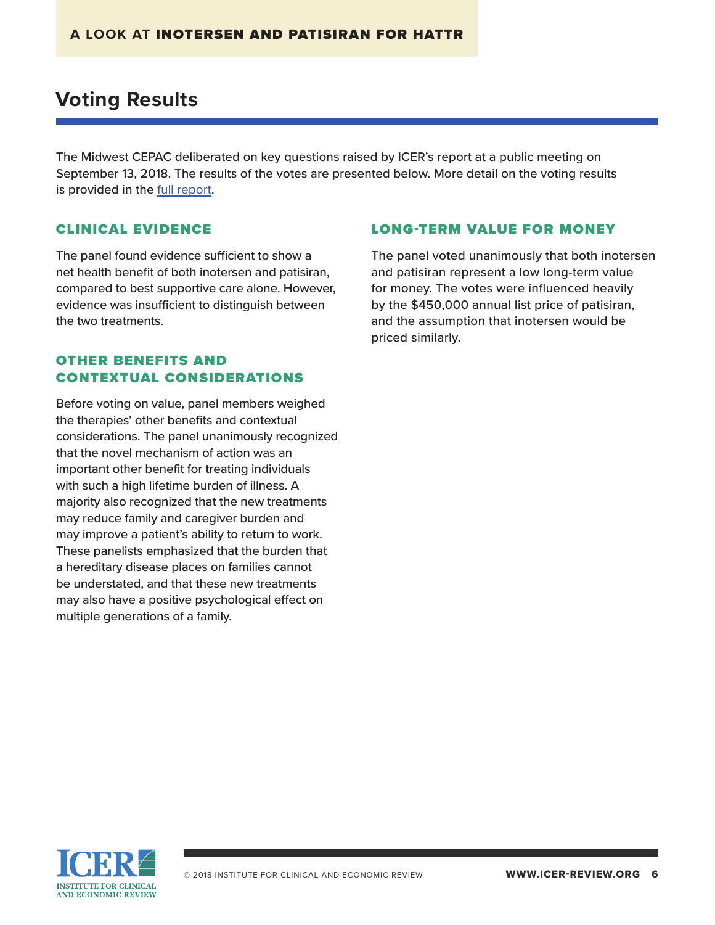# **Voting Results**

The Midwest CEPAC deliberated on key questions raised by ICER's report at a public meeting on September 13, 2018. The results of the votes are presented below. More detail on the voting results is provided in the [full report](https://icer-review.org/material/amyloidosis-final-evidence-report/).

#### CLINICAL EVIDENCE

The panel found evidence sufficient to show a net health benefit of both inotersen and patisiran, compared to best supportive care alone. However, evidence was insufficient to distinguish between the two treatments.

### OTHER BENEFITS AND CONTEXTUAL CONSIDERATIONS

Before voting on value, panel members weighed the therapies' other benefits and contextual considerations. The panel unanimously recognized that the novel mechanism of action was an important other benefit for treating individuals with such a high lifetime burden of illness. A majority also recognized that the new treatments may reduce family and caregiver burden and may improve a patient's ability to return to work. These panelists emphasized that the burden that a hereditary disease places on families cannot be understated, and that these new treatments may also have a positive psychological effect on multiple generations of a family.

#### LONG-TERM VALUE FOR MONEY

The panel voted unanimously that both inotersen and patisiran represent a low long-term value for money. The votes were influenced heavily by the \$450,000 annual list price of patisiran, and the assumption that inotersen would be priced similarly.

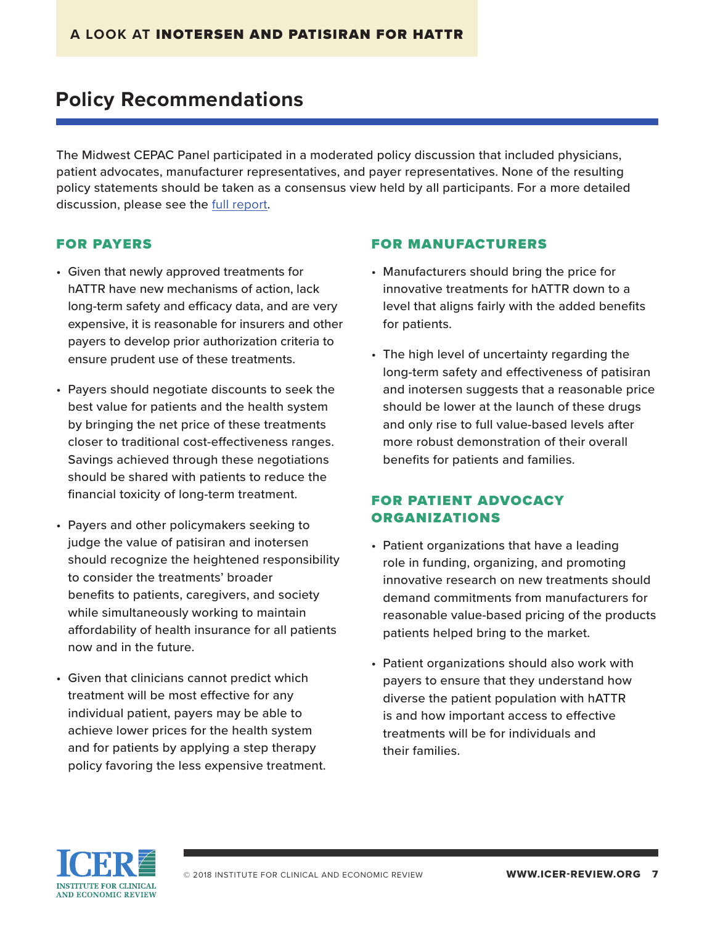# **Policy Recommendations**

The Midwest CEPAC Panel participated in a moderated policy discussion that included physicians, patient advocates, manufacturer representatives, and payer representatives. None of the resulting policy statements should be taken as a consensus view held by all participants. For a more detailed discussion, please see the [full report](https://icer-review.org/material/amyloidosis-final-evidence-report/).

### FOR PAYERS

- Given that newly approved treatments for hATTR have new mechanisms of action, lack long-term safety and efficacy data, and are very expensive, it is reasonable for insurers and other payers to develop prior authorization criteria to ensure prudent use of these treatments.
- Payers should negotiate discounts to seek the best value for patients and the health system by bringing the net price of these treatments closer to traditional cost-effectiveness ranges. Savings achieved through these negotiations should be shared with patients to reduce the financial toxicity of long-term treatment.
- Payers and other policymakers seeking to judge the value of patisiran and inotersen should recognize the heightened responsibility to consider the treatments' broader benefits to patients, caregivers, and society while simultaneously working to maintain affordability of health insurance for all patients now and in the future.
- Given that clinicians cannot predict which treatment will be most effective for any individual patient, payers may be able to achieve lower prices for the health system and for patients by applying a step therapy policy favoring the less expensive treatment.

#### FOR MANUFACTURERS

- Manufacturers should bring the price for innovative treatments for hATTR down to a level that aligns fairly with the added benefits for patients.
- The high level of uncertainty regarding the long-term safety and effectiveness of patisiran and inotersen suggests that a reasonable price should be lower at the launch of these drugs and only rise to full value-based levels after more robust demonstration of their overall benefits for patients and families.

### FOR PATIENT ADVOCACY ORGANIZATIONS

- Patient organizations that have a leading role in funding, organizing, and promoting innovative research on new treatments should demand commitments from manufacturers for reasonable value-based pricing of the products patients helped bring to the market.
- Patient organizations should also work with payers to ensure that they understand how diverse the patient population with hATTR is and how important access to effective treatments will be for individuals and their families.